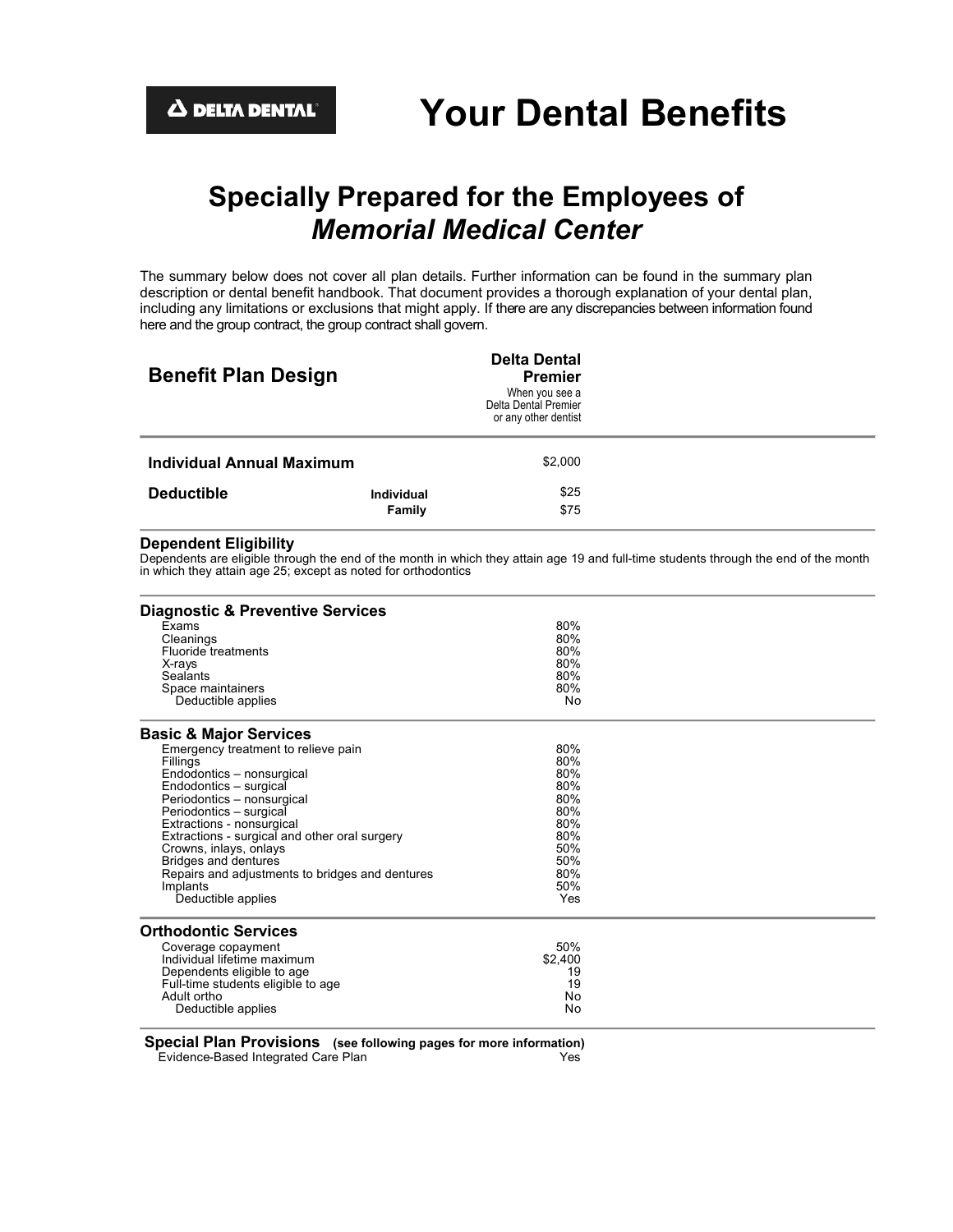# **Specially Prepared for the Employees of** *Memorial Medical Center*

The summary below does not cover all plan details. Further information can be found in the summary plan description or dental benefit handbook. That document provides a thorough explanation of your dental plan, including any limitations or exclusions that might apply. If there are any discrepancies between information found here and the group contract, the group contract shall govern.

| <b>Benefit Plan Design</b> |                             | <b>Delta Dental</b><br><b>Premier</b><br>When you see a<br>Delta Dental Premier<br>or any other dentist |  |
|----------------------------|-----------------------------|---------------------------------------------------------------------------------------------------------|--|
| Individual Annual Maximum  |                             | \$2,000                                                                                                 |  |
| <b>Deductible</b>          | <b>Individual</b><br>Family | \$25<br>\$75                                                                                            |  |

#### **Dependent Eligibility**

Dependents are eligible through the end of the month in which they attain age 19 and full-time students through the end of the month in which they attain age 25; except as noted for orthodontics

| <b>Diagnostic &amp; Preventive Services</b>                                                                                                                                                                                                                                                                                                                                                 |                                                                                         |  |
|---------------------------------------------------------------------------------------------------------------------------------------------------------------------------------------------------------------------------------------------------------------------------------------------------------------------------------------------------------------------------------------------|-----------------------------------------------------------------------------------------|--|
| Exams<br>Cleanings<br>Fluoride treatments<br>X-rays                                                                                                                                                                                                                                                                                                                                         | 80%<br>80%<br>80%<br>80%                                                                |  |
| Sealants<br>Space maintainers<br>Deductible applies                                                                                                                                                                                                                                                                                                                                         | 80%<br>80%<br>No                                                                        |  |
| <b>Basic &amp; Major Services</b>                                                                                                                                                                                                                                                                                                                                                           |                                                                                         |  |
| Emergency treatment to relieve pain<br>Fillings<br>Endodontics - nonsurgical<br>Endodontics - surgical<br>Periodontics - nonsurgical<br>Periodontics - surgical<br>Extractions - nonsurgical<br>Extractions - surgical and other oral surgery<br>Crowns, inlays, onlays<br><b>Bridges and dentures</b><br>Repairs and adjustments to bridges and dentures<br>Implants<br>Deductible applies | 80%<br>80%<br>80%<br>80%<br>80%<br>80%<br>80%<br>80%<br>50%<br>50%<br>80%<br>50%<br>Yes |  |
| <b>Orthodontic Services</b>                                                                                                                                                                                                                                                                                                                                                                 |                                                                                         |  |
| Coverage copayment<br>Individual lifetime maximum<br>Dependents eligible to age<br>Full-time students eligible to age<br>Adult ortho<br>Deductible applies                                                                                                                                                                                                                                  | 50%<br>\$2,400<br>19<br>19<br>No<br>No                                                  |  |

**Special Plan Provisions (see following pages for more information)** Evidence-Based Integrated Care Plan Yes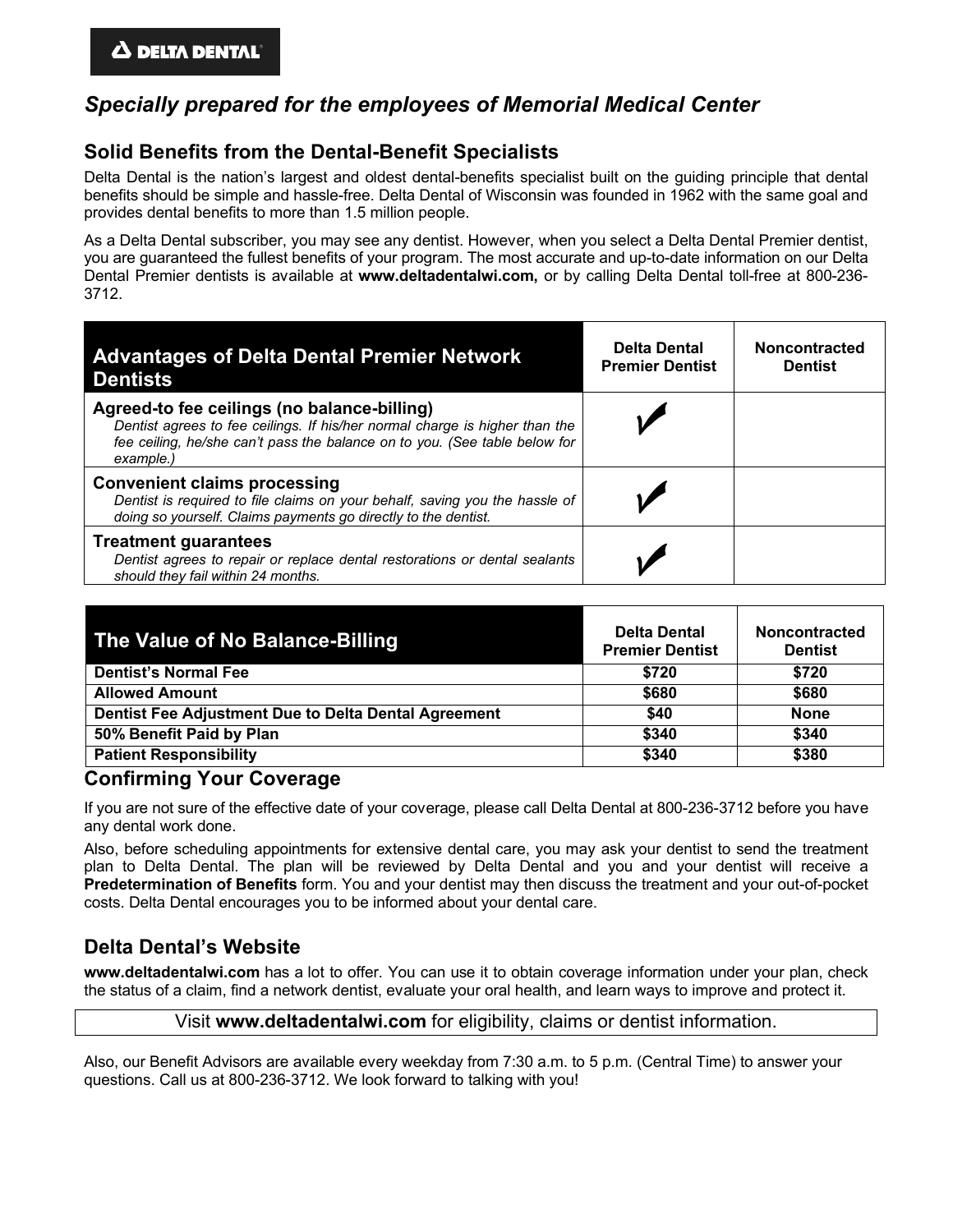# *Specially prepared for the employees of Memorial Medical Center*

# **Solid Benefits from the Dental-Benefit Specialists**

Delta Dental is the nation's largest and oldest dental-benefits specialist built on the guiding principle that dental benefits should be simple and hassle-free. Delta Dental of Wisconsin was founded in 1962 with the same goal and provides dental benefits to more than 1.5 million people.

As a Delta Dental subscriber, you may see any dentist. However, when you select a Delta Dental Premier dentist, you are guaranteed the fullest benefits of your program. The most accurate and up-to-date information on our Delta Dental Premier dentists is available at **www.deltadentalwi.com,** or by calling Delta Dental toll-free at 800-236- 3712.

| <b>Advantages of Delta Dental Premier Network</b><br><b>Dentists</b>                                                                                                                                                  | <b>Delta Dental</b><br><b>Premier Dentist</b> | <b>Noncontracted</b><br><b>Dentist</b> |
|-----------------------------------------------------------------------------------------------------------------------------------------------------------------------------------------------------------------------|-----------------------------------------------|----------------------------------------|
| Agreed-to fee ceilings (no balance-billing)<br>Dentist agrees to fee ceilings. If his/her normal charge is higher than the<br>fee ceiling, he/she can't pass the balance on to you. (See table below for<br>example.) |                                               |                                        |
| <b>Convenient claims processing</b><br>Dentist is required to file claims on your behalf, saving you the hassle of<br>doing so yourself. Claims payments go directly to the dentist.                                  |                                               |                                        |
| <b>Treatment guarantees</b><br>Dentist agrees to repair or replace dental restorations or dental sealants<br>should they fail within 24 months.                                                                       |                                               |                                        |

| The Value of No Balance-Billing                      | <b>Delta Dental</b><br><b>Premier Dentist</b> | <b>Noncontracted</b><br><b>Dentist</b> |
|------------------------------------------------------|-----------------------------------------------|----------------------------------------|
| <b>Dentist's Normal Fee</b>                          | \$720                                         | \$720                                  |
| <b>Allowed Amount</b>                                | \$680                                         | \$680                                  |
| Dentist Fee Adjustment Due to Delta Dental Agreement | \$40                                          | <b>None</b>                            |
| 50% Benefit Paid by Plan                             | \$340                                         | \$340                                  |
| <b>Patient Responsibility</b>                        | \$340                                         | \$380                                  |

### **Confirming Your Coverage**

If you are not sure of the effective date of your coverage, please call Delta Dental at 800-236-3712 before you have any dental work done.

Also, before scheduling appointments for extensive dental care, you may ask your dentist to send the treatment plan to Delta Dental. The plan will be reviewed by Delta Dental and you and your dentist will receive a **Predetermination of Benefits** form. You and your dentist may then discuss the treatment and your out-of-pocket costs. Delta Dental encourages you to be informed about your dental care.

# **Delta Dental's Website**

**www.deltadentalwi.com** has a lot to offer. You can use it to obtain coverage information under your plan, check the status of a claim, find a network dentist, evaluate your oral health, and learn ways to improve and protect it.

#### Visit **www.deltadentalwi.com** for eligibility, claims or dentist information.

Also, our Benefit Advisors are available every weekday from 7:30 a.m. to 5 p.m. (Central Time) to answer your questions. Call us at 800-236-3712. We look forward to talking with you!